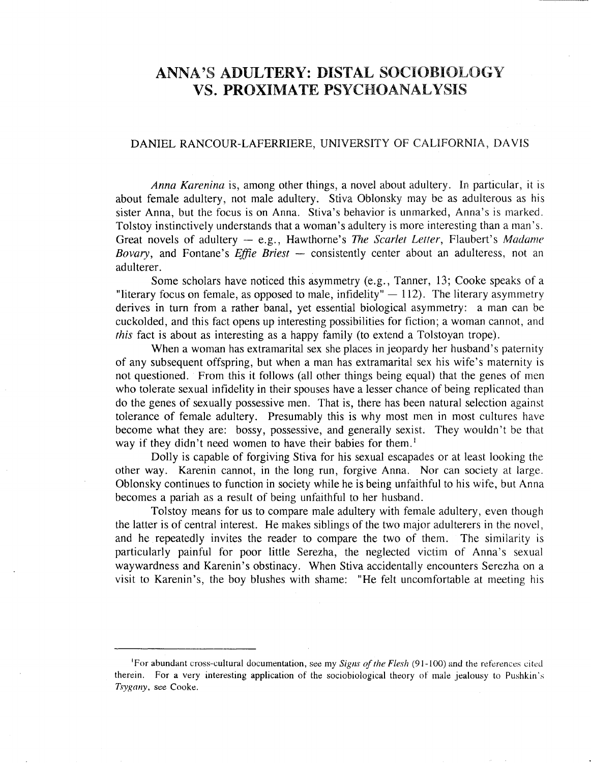# **ANNA'S ADULTERY: DISTAL SOCIOBIOLOGY VS. PROXIMATE PSYCHOANALYSIS**

## DANIEL RANCOUR-LAFERRIERE, UNIVERSITY OF CALIFORNIA, DAVIS

Bovary, and Fontane's *Effie Briest* — consistently center about an adulteress, not an Anna Karenina is, among other things, a novel about adultery. In particular, it is about female adultery, not male adultery. Stiva Oblonsky may be as adulterous as his sister Anna, but the focus is on Anna. Stiva's behavior is unmarked, Anna's is marked. Tolstoy instinctively understands that a woman's adultery is more interesting than a man's. Great novels of adultery  $-$  e.g., Hawthorne's The Scarlet Letter, Flaubert's Madame adulterer.

Some scholars have noticed this asymmetry (e.g., Tanner,  $13$ ; Cooke speaks of a "literary focus on female, as opposed to male, infidelity"  $-112$ ). The literary asymmetry derives in turn from a rather banal, yet essential biological asymmetry: a man can be cuckolded, and this fact opens up interesting possibilities for fiction; a woman cannot, and *this* fact is about as interesting as a happy family (to extend a Tolstoyan trope).

When a woman has extramarital sex she places in jeopardy her husband's paternity of any subsequent offspring, but when a man has extramarital sex his wife's maternity is not questioned. From this it follows (all other things being equal) that the genes of men who tolerate sexual infidelity in their spouses have a lesser chance of being replicated than do the genes of sexually possessive men. That is, there has been natural selection against tolerance of female adultery. Presumably this is why most men in most cultures have become what they are: bossy, possessive, and generally sexist. They wouldn't be that way if they didn't need women to have their babies for them.<sup>1</sup>

Dolly is capable of forgiving Stiva for his sexual escapades or at least looking the other way. Karenin cannot, in the long run, forgive Anna. Nor can society at large. Oblonsky continues to function in society while he is being unfaithful to his wife, but Anna becomes a pariah as a result of being unfaithful to her husband.

Tolstoy means for us to compare male adultery with female adultery, even though the latter is of central interest. He makes siblings of the two major adulterers in the novel. and he repeatedly invites the reader to compare the two of them. The similarity is particularly painful for poor little Serezha, the neglected victim of Anna's sexual waywardness and Karenin's obstinacy. When Stiva accidentally encounters Serezha on a visit to Karenin's, the boy blushes with shame: "He felt uncomfortable at meeting his

<sup>&</sup>lt;sup>1</sup>For abundant cross-cultural documentation, see my *Signs of the Flesh* (91-100) and the references cited therein. For a very interesting application of the sociobiological theory of Inale jealousy to Pushkin's *Tsygany,* see Cooke.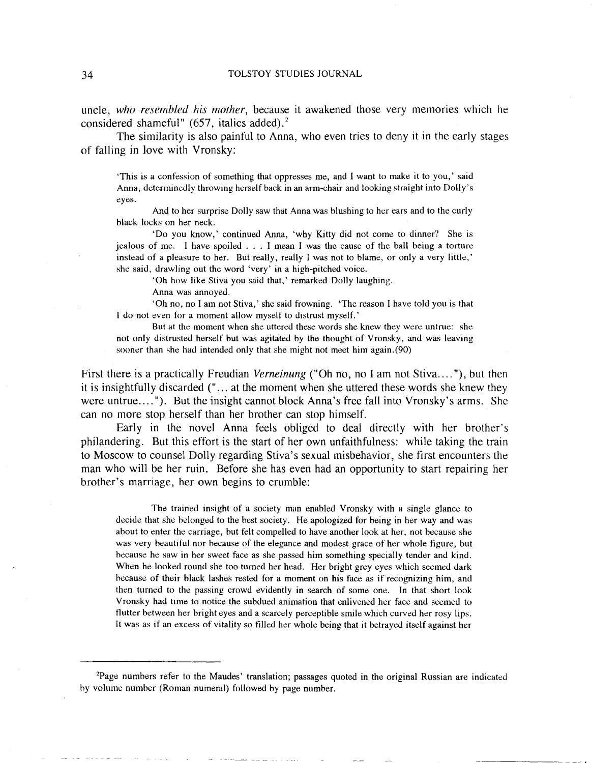uncle, *who resembled his mother*, because it awakened those very memories which he considered shameful" (657, italics added).<sup>2</sup>

The similarity is also painful to Anna, who even tries to deny it in the early stages of falling in love with Vronsky:

~This is a confession of something that oppresses me, and I want to make it to you,' said Anna, determinedly throwing herself back in an arm-chair and looking straight into Dolly's eyes.

And to her surprise Dolly saw that Anna was blushing to her ears and to the curly black locks on her neck.

4Do you know,' continued Anna, 'why Kitty did not come to dinner? She is jealous of me. I have spoiled . . . I mean I was the cause of the ball being a torture instead of a pleasure to her. But really, really I was not to blame, or only a very little,' she said, drawling out the word 'very' in a high-pitched voice.

~Oh how like Stiva you said that,' remarked Dolly laughing.

Anna was annoyed.

40h no, no I am not Stiva,' she said frowning. 'The reason I have told you is that I do not even for a moment allow myself to distrust myself. '

But at the moment when she uttered these words she knew they were untrue: she not only distrusted herself but was agitated by the thought of Vronsky, and was leaving sooner than she had intended only that she might not meet him again.(90)

First there is a practically Freudian *Verneinung* ("Oh no, no I am not Stiva...."), but then it is insightfully discarded (" ... at the moment when she uttered these words she knew they were untrue...."). But the insight cannot block Anna's free fall into Vronsky's arms. She can no more stop herself than her brother can stop himself.

Early in the novel Anna feels obliged to deal directly with her brother's philandering. But this effort is the start of her own unfaithfulness: while taking the train to Moscow to counsel Dolly regarding Stiva's sexual misbehavior, she first encounters the man who will be her ruin. Before she has even had an opportunity to start repairing her brother's marriage, her own begins to crumble:

The trained insight of a society man enabled Vronsky with a single glance to decide that she helonged to the best society. He apologized for being in her way and was about to enter the carriage, but felt compelled to have another look at her, not because she was very beautiful nor because of the elegance and modest grace of her whole figure, but because he saw in her sweet face as she passed him something specially tender and kind. When he looked round she too turned her head. Her bright grey eyes which seemed dark hecause of their black lashes rested for a moment on his face as if recognizing him, and then turned to the passing crowd evidently in search of some one. In that short look Vronsky had time to notice the subdued animation that enlivened her face and seemed to flutter between her bright eyes and a scarcely perceptible smile which curved her rosy lips. It was as if an excess of vitality so filled her whole being that it betrayed itself against her

<sup>&</sup>lt;sup>2</sup>Page numbers refer to the Maudes' translation; passages quoted in the original Russian are indicated hy volume number (Roman numeral) followed by page number.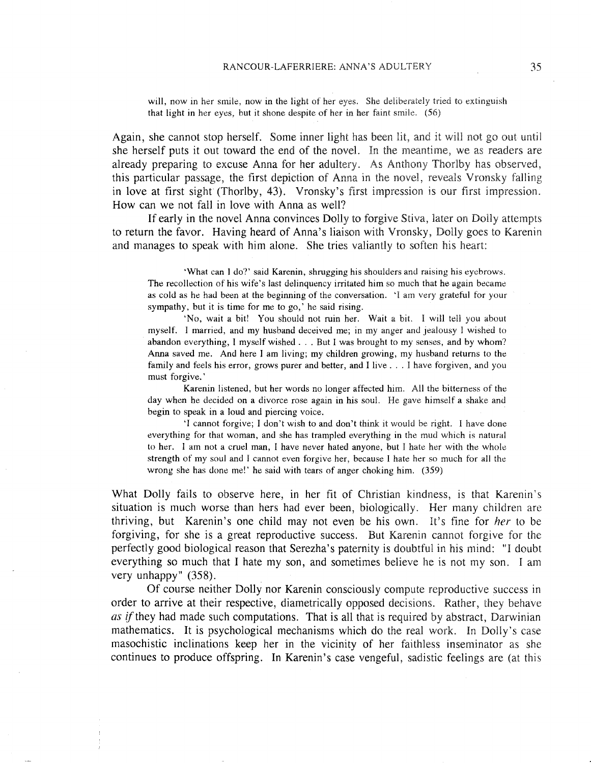now in her smile, now in the light of her eyes. She deliberately tried to extinguish that light in her eyes, but it shone despite of her in her faint smile.

Again, she cannot stop herself. Some inner light has been lit, and it will not go out until she herself puts it out toward the end of the novel. In the meantime, we as readers are already preparing to excuse Anna for her adultery. As Anthony Thorlby has observed, this particular passage, the first depiction of Anna in the novel, reveals Vronsky falling in love at first sight (Thorlby, 43). Vronsky's first impression is our first impression. How can we not fall in love with Anna as well?

If early in the novel Anna convinces Dolly to forgive Stiva, later on Dolly attempts to return the favor. Having heard of Anna's liaison with Vronsky, Dolly goes to Karenin and manages to speak with him alone. She tries valiantly to soften his heart:

\*What can I do?' said Karenin, shrugging his shoulders and raising his eyebrows. The recollection of his wife's last delinquency irritated him so much that he again became as cold as he had been at the beginning of the conversation. 'I am very grateful for your sympathy, but it is time for me to go,' he said rising.

'No, wait a bit! You should not ruin her. Wait a bit. I will tell you about myself. I married, and my husband deceived me; in my anger and jealousy I wished to abandon everything, I myself wished . . . But I was brought to my senses, and by whom? Anna saved me. And here I am living; my children growing, my husband returns to the family and feels his error, grows purer and better, and I live . . . I have forgiven, and you must forgive. '

Karenin listened, but her words no longer affected him. All the bitterness of the day when he decided on a divorce rose again in his soul. He gave himself a shake and begin to speak in a loud and piercing voice.

'I cannot forgive; I don't wish to and don't think it would be right. I have done everything for that woman, and she has trampled everything in the mud which is natural to her. I am not a cruel man, 1 have never hated anyone, but I hate her with the whole strength of my soul and I cannot even forgive her, because I hate her so much for all the wrong she has done me!' he said with tears of anger choking him. (359)

What Dolly fails to observe here, in her fit of Christian kindness, is that Karenin's situation is much worse than hers had ever been, biologically. Her many children are thriving, but Karenin's one child may not even be his own. It's fine for her to be forgiving, for she is a great reproductive success. But Karenin cannot forgive for the perfectly good biological reason that Serezha's paternity is doubtful in his mind: "I doubt everything so much that I hate my son, and sometimes believe he is not my son. I am very unhappy" (358).

Of course neither Dolly nor Karenin consciously compute reproductive success in order to arrive at their respective, diametrically opposed decisions. Rather, they behave *as* if they had made such computations. That is all that is required by abstract, Darwinian mathematics. It is psychological mechanisms which do the real work. In Dolly's case masochistic inclinations keep her in the vicinity of her faithless inseminator as she continues to produce offspring. In Karenin's case vengeful, sadistic feelings are (at this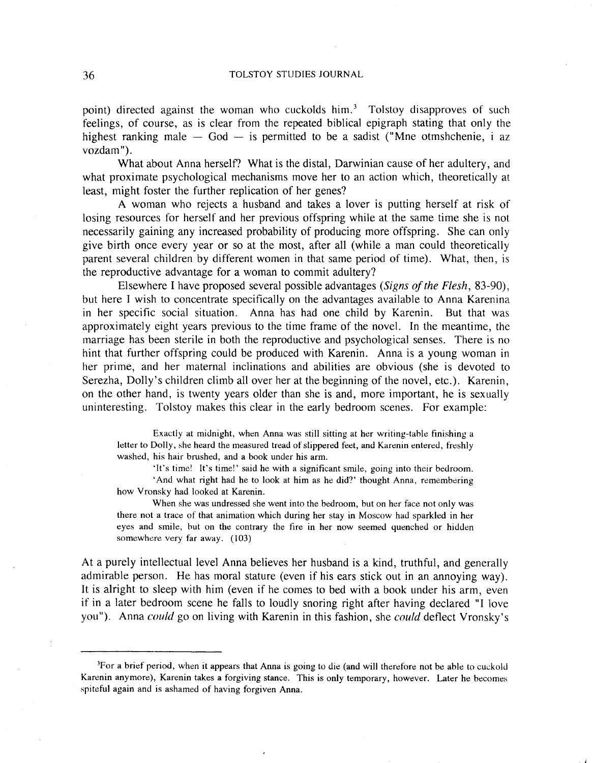point) directed against the woman who cuckolds  $him<sup>3</sup>$  Tolstoy disapproves of such feelings, of course, as is clear from the repeated biblical epigraph stating that only the highest ranking male  $-$  God  $-$  is permitted to be a sadist ("Mne otmshchenie, i az vozdam").

What about Anna herself? What is the distal, Darwinian cause of her adultery, and what proximate psychological mechanisms move her to an action which, theoretically at least, might foster the further replication of her genes?

A woman who rejects a husband and takes a lover is putting herself at risk of losing resources for herself and her previous offspring while at the same time she is not necessarily gaining any increased probability of producing more offspring. She can only give birth once every year or so at the most, after all (while a man could theoretically parent several children by different women in that same period of time). What, then, is the reproductive advantage for a woman to commit adultery?

Elsewhere I have proposed several possible advantages *(Signs of the Flesh, 83-90)*, but here I wish to concentrate specifically on the advantages available to Anna Karenina in her specific social situation. Anna has had one child by Karenin. But that was approximately eight years previous to the time frame of the novel. In the meantime, the lnarriage has been sterile in both the reproductive and psychological senses. There is no hint that further offspring could be produced with Karenin. Anna is a young woman in her prime, and her maternal inclinations and abilities are obvious (she is devoted to Serezha, Dolly's children climb all over her at the beginning of the novel, etc.). Karenin, on the other hand, is twenty years older than she is and, more important, he is sexually uninteresting. Tolstoy makes this clear in the early bedroom scenes. For example:

Exactly at midnight, when Anna was still sitting at her writing-table finishing a letter to Dolly, she heard the measured tread of slippered feet, and Karenin entered, freshly washed, his hair brushed, and a book under his arm.

4It's time! It's time!' said he with a significant smile, going into their bedroom.

'And what right had he to look at him as he did?' thought Anna, remembering how Vronsky had looked at Karenin.

When she was undressed she went into the bedroom, but on her face not only was there not a trace of that animation which during her stay in Moscow had sparkled in her eyes and smile, but on the contrary the fire in her now seemed quenched or hidden somewhere very far away. (103)

At a purely intellectual level Anna believes her husband is a kind, truthful, and generally admirable person. He has moral stature (even if his ears stick out in an annoying way). It is alright to sleep with him (even if he comes to bed with a book under his arm, even if in a later bedroom scene he falls to loudly snoring right after having declared "I love you"). Anna could go on living with Karenin in this fashion, she could deflect Vronsky's

<sup>&</sup>lt;sup>3</sup>For a brief period, when it appears that Anna is going to die (and will therefore not be able to cuckold Karenin anymore), Karenin takes a forgiving stance. This is only temporary, however. Later he becomes spiteful again and is ashamed of having forgiven Anna.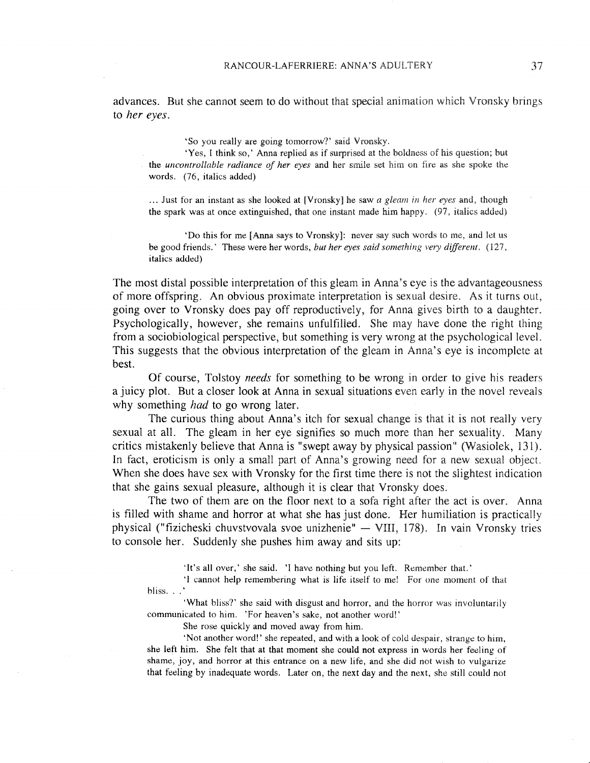advances. But she cannot seem to *her* eyes.

'So you really are going tomorrow?' said Vronsky.

the *uncontrollable radiance of her eyes* and her smile set him on fire as she spoke the 'Yes, I think so,' Anna replied as if surprised at the boldness of his question; but words. (76, italics added)

... Just for an instant as she looked at [Vronsky] he saw a gleam in her eyes and, though the spark was at once extinguished, that one instant made him happy.  $(97)$ , italics added)

'Do this for me [Anna says to Vronsky]: never say such words to me, and let us be good friends.' These were her words, but her eyes said something very different. (127, italics added)

The most distal possible interpretation of this gleam in Anna's eye is the advantageousness of more offspring. An obvious proximate interpretation is sexual desire. As it turns out, going over to Vronsky does pay off reproductively, for Anna gives birth to a daughter. Psychologically, however, she remains unfulfilled. She may have done the right thing from a sociobiological perspective, but something is very wrong at the psychological level. This suggests that the obvious interpretation of the gleam in Anna's eye is incomplete at best.

Of course, Tolstoy needs for something to be wrong in order to give his readers a juicy plot. But a closer look at Anna in sexual situations even early in the novel reveals why something *had* to go wrong later.

The curious thing about Anna's itch for sexual change is that it is not really very sexual at all. The gleam in her eye signifies so much more than her sexuality. Many critics mistakenly believe that Anna is "swept away by physical passion" (Wasiolek, 131). In fact, eroticism is only a small part of Anna's growing need for a new sexual object. When she does have sex with Vronsky for the first time there is not the slightest indication that she gains sexual pleasure, although it is clear that Vronsky does.

The two of them are on the floor next to a sofa right after the act is over. Anna is filled with shame and horror at what she has just done. Her humiliation is practically physical ("fizicheski chuvstvovala svoe unizhenie" — VIII, 178). In vain Vronsky tries to console her. Suddenly she pushes him away and sits up:

'It's all over,' she said. 'I have nothing but you left. Remember that.'

'I cannot help remembering what is life itself to me! For one moment of that bliss...

'What bliss?' she said with disgust and horror, and the horror was involuntari communicated to him. 'For heaven's sake, not another word!'

She rose quickly and moved away from him.

'Not another word!' she repeated, and with a look of cold despair, strange to him, she left him. She felt that at that moment she could not express in words her feeling of shame, joy, and horror at this entrance on a new life, and she did not wish to vulgarize that feeling by inadequate words. Later on, the next day and the next, she still could not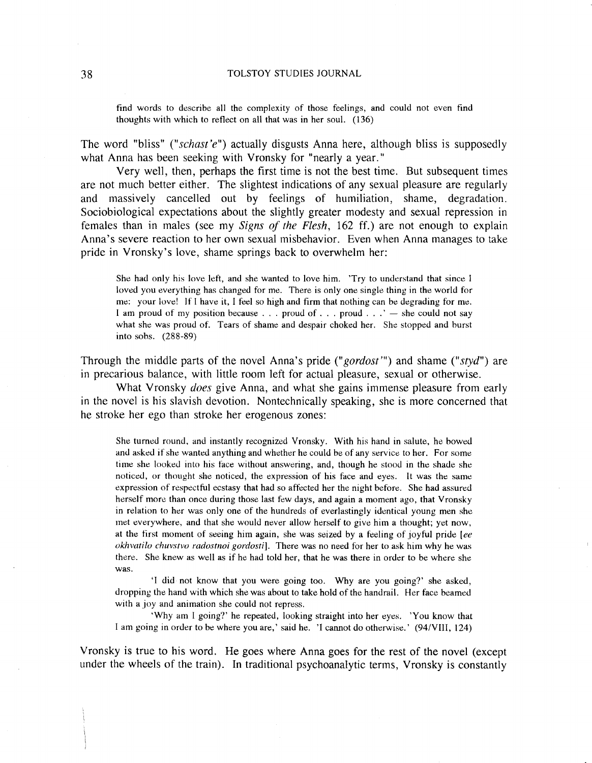find words to describe all the complexity of those feelings, and could not even find thoughts with which to reflect on all that was in her soul. (136)

The word "bliss" *("schast'e")* actually disgusts Anna here, although bliss is supposedly what Anna has been seeking with Vronsky for "nearly a year."

Very well, then, perhaps the first time is not the best time. But subsequent times are not much better either. The slightest indications of any sexual pleasure are regularly and massively cancelled out by feelings of humiliation, shame, degradation. Sociobiological expectations about the slightly greater modesty and sexual repression in females than in males (see my *Signs of the Flesh,* 162 ff.) are not enough to explain Anna's severe reaction to her own sexual misbehavior. Even when Anna manages to take pride in Vronsky's love, shame springs back to overwhelm her:

She had only his love left, and she wanted to love him. 'Try to understand that since I loved you everything has changed for me. There is only one single thing in the world for me: your love! If I have it, I feel so high and firm that nothing can be degrading for me. I am proud of my position because . . . proud of . . . proud . . .'  $-$  she could not say what she was proud of. Tears of shame and despair choked her. She stopped and burst into sobs. (288-89)

Through the middle parts of the novel Anna's pride *("gordost'")* and shame *("styd")* are in precarious balance, with little room left for actual pleasure, sexual or otherwise.

What Vronsky *does* give Anna, and what she gains immense pleasure from early in the novel is his slavish devotion. Nontechnically speaking, she is more concerned that he stroke her ego than stroke her erogenous zones:

She turned round, and instantly recognized Vronsky. With his hand in salute, he bowed and asked if she wanted anything and whether he could be of any service to her. For some time she looked into his face without answering, and, though he stood in the shade she noticed, or thought she noticed, the expression of his face and eyes. It was the same expression of respectful ecstasy that had so affected her the night before. She had assured herself more than once during those last few days, and again a moment ago, that Vronsky in relation to her was only one of the hundreds of everlastingly identical young men she met everywhere, and that she would never allow herself to give him a thought; yet now, at the first moment of seeing him again, she was seized by a feeling of joyful pride *lee okhvatilo chuvstvo radostnoi gordosti].* There was no need for her to ask him why he was there. She knew as well as if he had told her, that he was there in order to be where she was.

'I did· not know that you were going too. Why are you going?' she asked, dropping the hand with which she was about to take hold of the handrail. Her face beamed with a joy and animation she could not repress.

·Why am I going?' he repeated, looking straight into her eyes. 'You know that I am going in order to be where you are,' said he. 'I cannot do otherwise.' (94/VIII, 124)

Vronsky is true to his word. He goes where Anna goes for the rest of the novel (except under the wheels of the train). In traditional psychoanalytic terms, Vronsky is constantly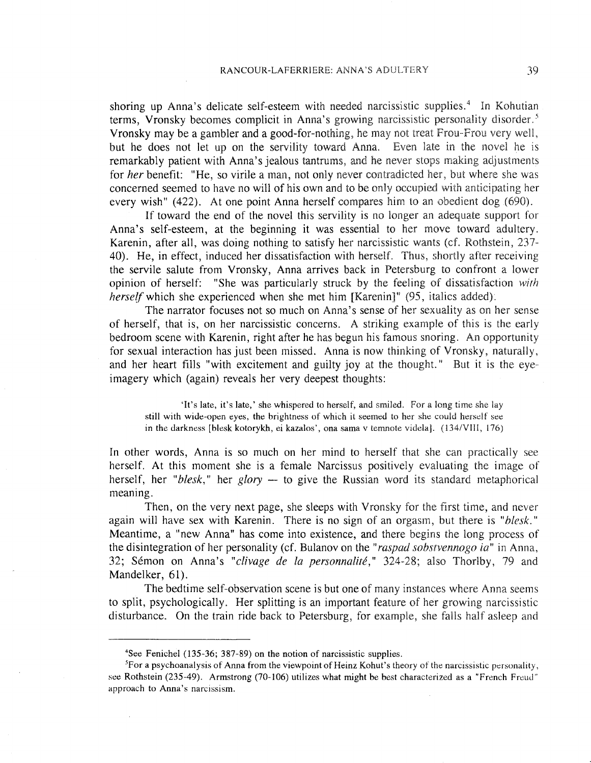shoring up Anna's delicate self-esteem with needed narcissistic supplies.<sup>4</sup> In Kohutian terms. Vronsky becomes complicit in Anna's growing narcissistic personality disorder.<sup>5</sup> Vronsky may be a gambler and a good-for-nothing, he may not treat Frou-Frou very well, but he does not let up on the servility toward Anna. Even late in the novel he is remarkably patient with Anna's jealous tantrums, and he never stops making adjustments for her benefit: "He, so virile a man, not only never contradicted her, but where she was concerned seemed to have no will of his own and to be only occupied with anticipating her every wish" (422). At one point Anna herself compares him to an obedient dog (690).

If toward the end of the novel this servility is no longer an adequate support for Anna's self-esteem, at the beginning it was essential to her move toward adultery. Karenin, after all, was doing nothing to satisfy her narcissistic wants (cf. Rothstein, 237-40). He, in effect, induced her dissatisfaction with herself. Thus, shortly after receiving the servile salute from Vronsky, Anna arrives back in Petersburg to confront a lower opinion of herself: "She was particularly struck by the feeling of dissatisfaction with *herself* which she experienced when she met him [Karenin]" (95, italics added).

The narrator focuses not so much on Anna's sense of her sexuality as on her sense of herself, that is, on her narcissistic concerns. A striking example of this is the early bedroom scene with Karenin, right after he has begun his famous snoring. An opportunity for sexual interaction has just been missed. Anna is now thinking of Vronsky, naturally, and her heart fills "with excitement and guilty joy at the thought." But it is the eyeimagery which (again) reveals her very deepest thoughts:

'It's late, it's late,' she whispered to herself, and smiled. For a long time she lay still with wide-open eyes, the brightness of which it seemed to her she could herself see in the darkness [blesk kotorykh, ei kazalos', ona sama v temnote videla].  $(134/VIII, 176)$ 

In other words, Anna is so much on her mind to herself that she can practically see herself. At this moment she is a female Narcissus positively evaluating the image of herself, her "*blesk*," her *glory* — to give the Russian word its standard metaphorical meaning.

Then, on the very next page, she sleeps with Vronsky for the first time, and never again will have sex with Karenin. There is no sign of an orgasm, but there is "blesk." Meantime, a "new Anna" has come into existence, and there begins the long process of the disintegration of her personality (cf. Bulanov on the "raspad sobstvennogo ia" in Anna, 32; Sémon on Anna's "clivage de la personnalité," 324-28; also Thorlby, 79 and Mandelker, 61).

The bedtime self-observation scene is but one of many instances where Anna seems to split, psychologically. Her splitting is an important feature of her growing narcissistic disturbance. On the train ride back to Petersburg, for example, she falls half asleep and

<sup>4</sup>See Fenichel (135-36; 387-89) on the notion of narcissistic supplies.

<sup>&</sup>lt;sup>5</sup>For a psychoanalysis of Anna from the viewpoint of Heinz Kohut's theory of the narcissistic personality, see Rothstein (235-49). Armstrong (70-106) utilizes what might be best characterized as a "French Freud" approach to Anna's narcissism.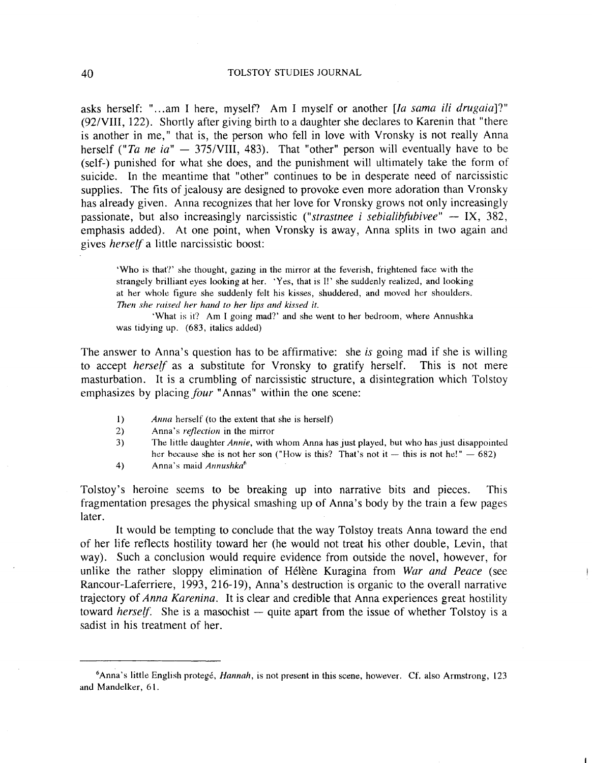asks herself: "...am I here, myself? Am I myself or another [*la sama ili drugaia*]?" (92/VIII, 122). Shortly after giving birth to a daughter she declares to Karenin that "there is another in me," that is, the person who fell in love with Vronsky is not really Anna herself ("*Ta ne* ia"  $-$  375/VIII, 483). That "other" person will eventually have to be (self-) punished for what she does, and the punishment will ultimately take the form of suicide. In the meantime that "other" continues to be in desperate need of narcissistic supplies. The fits of jealousy are designed to provoke even more adoration than Vronsky has already given. Anna recognizes that her love for Vronsky grows not only increasingly passionate, but also increasingly narcissistic *("strastnee i sebialibfubivee"* - IX, 382, emphasis added). At one point, when Vronsky is away, Anna splits in two again and gives *herself* a little narcissistic boost:

'Who is that?' she thought, gazing in the mirror at the feverish, frightened face with the strangely brilliant eyes looking at her. 'Yes, that is I!' she suddenly realized, and looking at her whole figure she suddenly felt his kisses, shuddered, and moved her shoulders. *Then she raised her hand to her lips and kissed it.*

'What is it? Am I going mad?' and she went to her bedroom, where Annushka was tidying up. (683, italics added)

The answer to Anna's question has to be affirmative: she is going mad if she is willing to accept *herself* as a substitute for Vronsky to gratify herself. This is not mere masturbation. It is a crumbling of narcissistic structure, a disintegration which Tolstoy emphasizes by placing *four* "Annas" within the one scene:

- 1) *Anna* herself (to the extent that she is herself)
- 2) Anna's *reflection* in the mirror
- 3) The little daughter *Annie,* with whom Anna has just played, but who has just disappointed her because she is not her son ("How is this? That's not it  $-$  this is not he!"  $-682$ )
- 4) Anna's maid *Annushka6*

Tolstoy's heroine seems to be breaking up into narrative bits and pieces. This fragmentation presages the physical smashing up of Anna's body by the train a few pages later.

It would be tempting to conclude that the way Tolstoy treats Anna toward the end of her life reflects hostility toward her (he would not treat his other double, Levin, that way). Such a conclusion would require evidence from outside the novel, however, for unlike the rather sloppy elimination of Hélène Kuragina from War and *Peace* (see Rancour-Laferriere, 1993,216-19), Anna's destruction is organic to the overall narrative trajectory of *Anna Karenina*. It is clear and credible that Anna experiences great hostility toward *herself.* She is a masochist  $-$  quite apart from the issue of whether Tolstoy is a sadist in his treatment of her.

<sup>6</sup>Anna's little English protege, *Hannah,* is not present in this scene, however. Cf. also Armstrong, 123 and Mandelker, 61.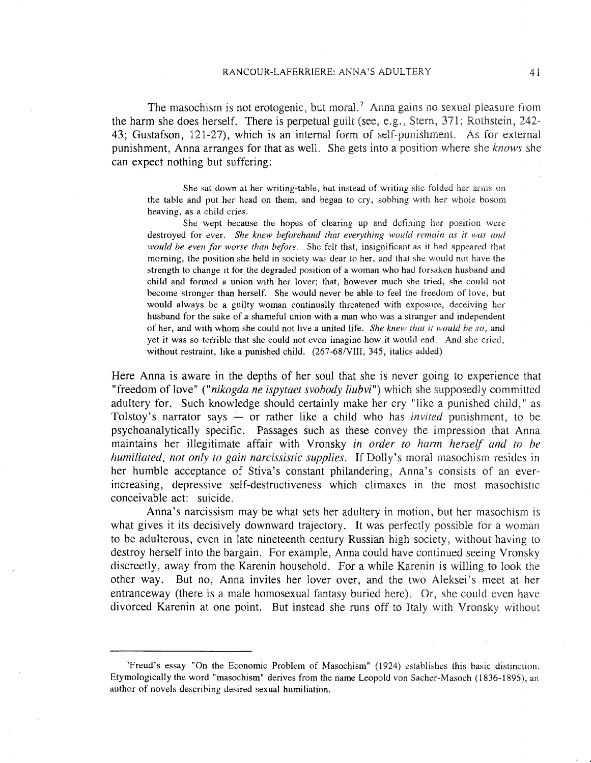The masochism is not erotogenic, but moral.<sup>7</sup> Anna gains no sexual pleasure from the harm she does herself. There is perpetual guilt (see, e.g., Stern, 371; Rothstein, 242-43; Gustafson, 121-27), which is an internal form of self-punishment. As for external punishment, Anna arranges for that as well. She gets into a position where she knows she can expect nothing but suffering:

She sat down at her writing-table, but instead of writing she folded her arms on the table and put her head on them, and began to cry, sobbing with her whole bosom heaving, as a child cries.

She wept because the hopes of clearing up and defining her position were destroyed for ever. She knew beforehand that everything would remain as it was and *would be even far worse than before.* She felt that, insignificant as it had appeared that morning, the position she held in society was dear to her, and that she would not have the strength to change it for the degraded position of a woman who had forsaken husband and child and formed a union with her lover; that, however much she tried, she could not become stronger than herself. She would never be able to feel the freedom of love, but would always be a guilty woman continually threatened with exposure, deceiving her husband for the sake of a shameful union with a man who was a stranger and independent of her, and with whom she could not live a united life. *She knew that it would be so,* and yet it was so terrible that she could not even imagine how it would end. And she cried, without restraint, like a punished child. (267-68/VIII, 345, italics added)

Here Anna is aware in the depths of her soul that she is never going to experience that "freedom of love" ("nikogda ne ispytaet svobody liubvi") which she supposedly committed adultery for. Such knowledge should certainly make her cry "like a punished child," as Tolstoy's narrator says  $-$  or rather like a child who has *invited* punishment, to be psychoanalytically specific. Passages such as these convey the impression that Anna maintains her illegitimate affair with Vronsky in order to harm herself and to be *humiliated, not only to gain narcissistic supplies.* If Dolly's moral masochism resides in her humble acceptance of Stiva's constant philandering, Anna's consists of an everincreasing, depressive self-destructiveness which climaxes in the most masochistic conceivable act: suicide.

Anna's narcissism may be what sets her adultery in motion, but her masochism is what gives it its decisively downward trajectory. It was perfectly possible for a woman to be adulterous, even in late nineteenth century Russian high society, without having to destroy herself into the bargain. For example, Anna could have continued seeing Vronsky discreetly, away from the Karenin household. For a while Karenin is willing to look the other way. But no, Anna invites her lover over, and the two Aleksei's meet at her entranceway (there is a male homosexual fantasy buried here). Or, she could even have divorced Karenin at one point. But instead she runs off to Italy with Vronsky without

 $T$ Freud's essay "On the Economic Problem of Masochism" (1924) establishes this basic distinction. Etymologically the word"masochism" derives from the name Leopold von Sacher-Masoch (1836-1895), an author of novels describing desired sexual humiliation.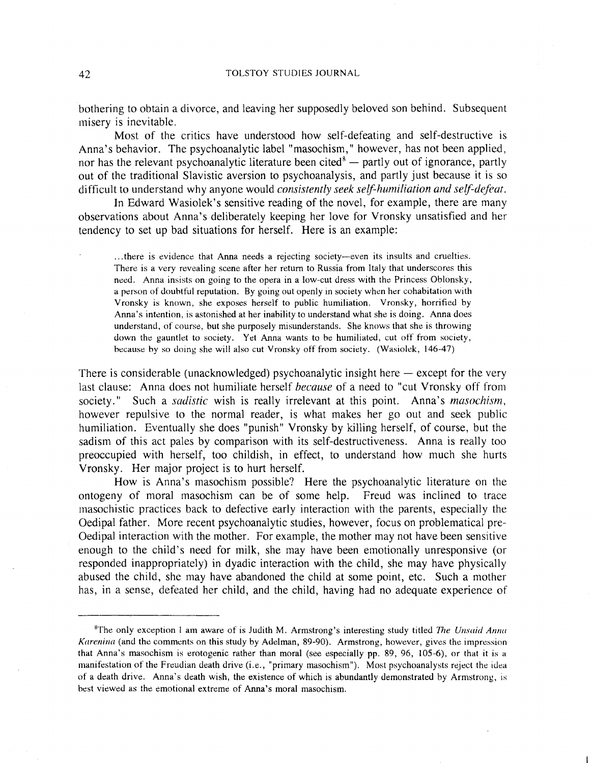'bothering to obtain a divorce, and leaving her supposedly beloved son behind. Subsequent misery is inevitable.

Most of the critics have understood how self-defeating and self-destructive is Anna's behavior. The psychoanalytic label "masochism," however, has not been applied, nor has the relevant psychoanalytic literature been cited<sup>8</sup>  $-$  partly out of ignorance, partly out of the traditional Slavistic aversion to psychoanalysis, and partly just because it is so difficult to understand why anyone would *consistently seek self-humiliation an.d self-defeat.*

In Edward Wasiolek's sensitive reading of the novel, for example, there are many observations about Anna's deliberately keeping her love for Vronsky unsatisfied and her tendency to set up bad situations for herself. Here is an example:

... there is evidence that Anna needs a rejecting society-even its insults and cruelties. There is a very revealing scene after her return to Russia from Italy that underscores this need. Anna insists on going to the opera in a low-cut dress with the Princess Oblonsky, a person of douhtful reputation. By going out openly in society when her cohabitation with Vronsky is known, she exposes herself to public humiliation. Vronsky, horrified by Anna's intention, is astonished at her inability to understand what she is doing. Anna does understand, of course, but she purposely misunderstands. She knows that she is throwing down the gauntlet to society. Yet Anna wants to be humiliated, cut off from society, hecause hy so doing she will also cut Vronsky off from society. (Wasiolek, 146-47)

There is considerable (unacknowledged) psychoanalytic insight here  $-$  except for the very last clause: Anna does not humiliate herself *because* of a need to "cut Vronsky off from society. " Such a *sadistic* wish is really irrelevant at this point. Anna's *masochism,* however repulsive to the normal reader, is what makes her go out and seek public humiliation. Eventually she does "punish" Vronsky by killing herself, of course, but the sadism of this act pales by comparison with its self-destructiveness. Anna is really too preoccupied with herself, too childish, in effect, to understand how much she hurts Vronsky. Her major project is to hurt herself.

How is Anna's masochism possible? Here the psychoanalytic literature on the ontogeny of moral masochism can be of some help. Freud was inclined to trace masochistic practices back to defective early interaction with the parents, especially the Oedipal father. More recent psychoanalytic studies, however, focus on problematical pre-Oedipal interaction with the mother. For example, the mother may not have been sensitive enough to the child's need for milk, she may have been emotionally unresponsive (or responded inappropriately) in dyadic interaction with the child, she may have physically abused the child, she may have abandoned the child at some point, etc. Such a mother has, in a sense, defeated her child, and the child, having had no adequate experience of

<sup>8</sup>The only exception I am aware of is Judith M. Armstrong's interesting study titled *171e Unsaid Anna Karenina* (and the comments on this study by Adelman, 89-90). Armstrong, however, gives the impression that Anna's masochism is erotogenic rather than moral (see especially pp. 89, 96, 105-6), or that it is a manifestation of the Freudian death drive (i.e., "primary masochism"). Most psychoanalysts reject the idea of a death drive. Anna's death wish, the existence of which is abundantly demonstrated by Armstrong, is best viewed as the emotional extreme of Anna's moral masochism.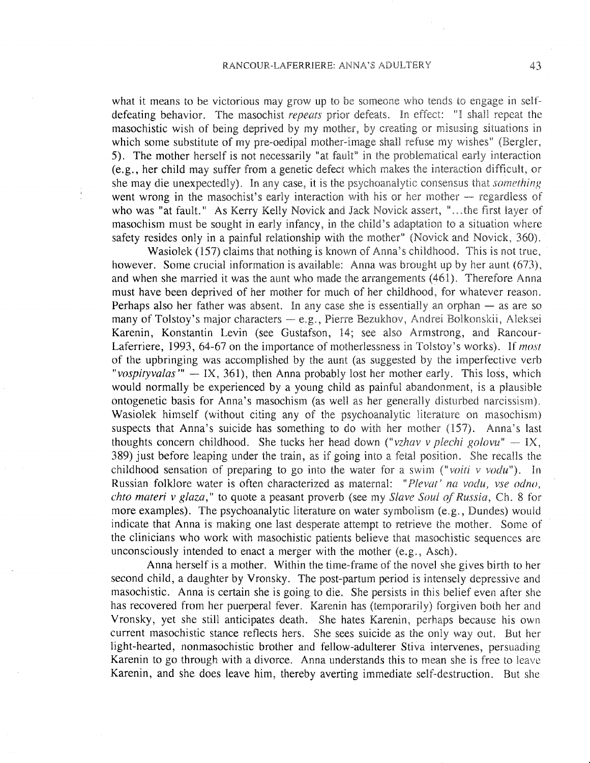what it means to be victorious may grow up to be someone who tends to engage in selfdefeating behavior. The masochist repeats prior defeats. In effect: "I shall repeat the masochistic wish of being deprived by my mother, by creating or misusing situations in which some substitute of my pre-oedipal mother-image shall refuse my wishes" (Bergler, 5). The mother herself is not necessarily "at fault" in the problematical early interaction (e.g., her child may suffer from a genetic defect which makes the interaction difficult, or she may die unexpectedly). In any case, it is the psychoanalytic consensus that something went wrong in the masochist's early interaction with his or her mother – regardless of who was "at fault." As Kerry Kelly Novick and Jack Novick assert, "...the first layer of masochism must be sought in early infancy, in the child's adaptation to a situation where safety resides only in a painful relationship with the mother" (Novick and Novick, 360).

Wasiolek (157) claims that nothing is known of Anna's childhood. This is not true, however. Some crucial information is available: Anna was brought up by her aunt (673), and when she married it was the aunt who made the arrangements (461). Therefore Anna must have been deprived of her mother for much of her childhood, for whatever reason. Perhaps also her father was absent. In any case she is essentially an orphan  $-$  as are so many of Tolstoy's major characters - e.g., Pierre Bezukhov, Andrei Bolkonskii, Aleksei Karenin, Konstantin Levin (see Gustafson, 14; see also Armstrong, and Rancour-Laferriere, 1993, 64-67 on the importance of motherlessness in Tolstoy's works). If most of the upbringing was accomplished by the aunt (as suggested by the imperfective verb "vospityvalas"  $-$  IX, 361), then Anna probably lost her mother early. This loss, which would normally be experienced by a young child as painful abandonment, is a plausible ontogenetic basis for Anna's masochism (as well as her generally disturbed narcissism). Wasiolek himself (without citing any of the psychoanalytic literature on masochism) suspects that Anna's suicide has something to do with her mother (157). Anna's last thoughts concern childhood. She tucks her head down ("vzhav v plechi golovu"  $-$  IX, 389) just before leaping under the train, as if going into a fetal position. She recalls the childhood sensation of preparing to go into the water for a swim ("voiti v vodu"). In Russian folklore water is often characterized as maternal: "Plevat' na vodu, vse odno, chto materi v glaza," to quote a peasant proverb (see my Slave Soul of Russia, Ch. 8 for more examples). The psychoanalytic literature on water symbolism (e.g., Dundes) would indicate that Anna is making one last desperate attempt to retrieve the mother. Some of the clinicians who work with masochistic patients believe that masochistic sequences are unconsciously intended to enact a merger with the mother (e.g., Asch).

Anna herself is a mother. Within the time-frame of the novel she gives birth to her second child, a daughter by Vronsky. The post-partum period is intensely depressive and masochistic. Anna is certain she is going to die. She persists in this belief even after she has recovered from her puerperal fever. Karenin has (temporarily) forgiven both her and Vronsky, yet she still anticipates death. She hates Karenin, perhaps because his own current masochistic stance reflects hers. She sees suicide as the only way out. But her light-hearted, nonmasochistic brother and fellow-adulterer Stiva intervenes, persuading Karenin to go through with a divorce. Anna understands this to mean she is free to leave Karenin, and she does leave him, thereby averting immediate self-destruction. But she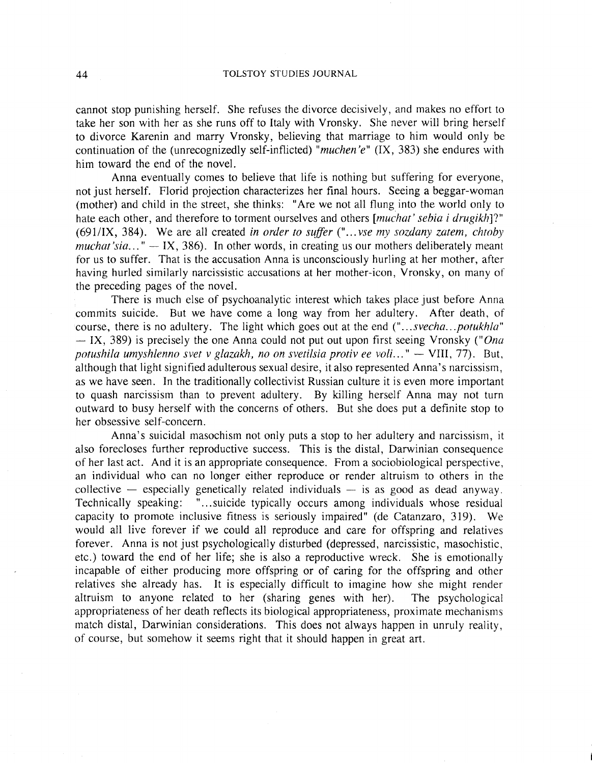cannot stop punishing herself. She refuses the divorce decisively, and makes no effort to take her son with her as she runs off to Italy with Vronsky. She never will bring herself to divorce Karenin and marry Vronsky, believing that marriage to him would only be continuation of the (unrecognizedly self-inflicted) *"muchen 'e"* (IX, 383) she endures with him toward the end of the novel.

Anna eventually comes to believe that life is nothing but suffering for everyone, not just herself. Florid projection characterizes her final hours. Seeing a beggar-woman (mother) and child in the street, she thinks: "Are we not all flung into the world only to hate each other, and therefore to torment ourselves and others *[muchat' sehia i drugikh]?"* (691/IX, 384). We are all created *in order to suffer* (" ... *vse my sozdany zatem, chtoby*  $muchat'sia...$ <sup>"</sup>  $-$  IX, 386). In other words, in creating us our mothers deliberately meant for us to suffer. That is the accusation Anna is unconsciously hurling at her mother, after having hurled similarly narcissistic accusations at her mother-icon, Vronsky, on many of the preceding pages of the novel.

There is much else of psychoanalytic interest which takes place just before Anna commits suicide. But we have come a long way from her adultery. After death, of course, there is no adultery. The light which goes out at the end *(" ...svecha...potukhla"*  $-$  IX, 389) is precisely the one Anna could not put out upon first seeing Vronsky ("Ona") *potushila umyshlenno svet v glazakh, no on svetilsia protiv ee voli...* " - VIII, 77). But, although that light signified adulterous sexual desire, it also represented Anna's narcissism, as we have seen. In the traditionally collectivist Russian culture it is even more important to quash narcissism than to prevent adultery. By killing herself Anna may not turn outward to busy herself with the concerns of others. But she does put a definite stop to her obsessive self-concern.

Anna's suicidal masochism not only puts a stop to her adultery and narcissism, it also forecloses further reproductive success. This is the distal, Darwinian consequence of her last act. And it is an appropriate consequence. From a sociobiological perspective, an individual who can no longer either reproduce or render altruism to others in the collective  $-$  especially genetically related individuals  $-$  is as good as dead anyway. Technically speaking: "...suicide typically occurs among individuals whose residual capacity to promote inclusive fitness is seriously impaired" (de Catanzaro, 319). We would all live forever if we could all reproduce and care for offspring and relatives forever. Anna is not just psychologically disturbed (depressed, narcissistic, masochistic, etc.) toward the end of her life; she is also a reproductive wreck. She is emotionally incapable of either producing more offspring or of caring for the offspring and other relatives she already has. It is especially difficult to imagine how she might render altruism to anyone related to her (sharing genes with her). The psychological appropriateness of her death reflects its biological appropriateness, proximate mechanisms match distal, Darwinian considerations. This does not always happen in unruly reality, of course, but somehow it seems right that it should happen in great art.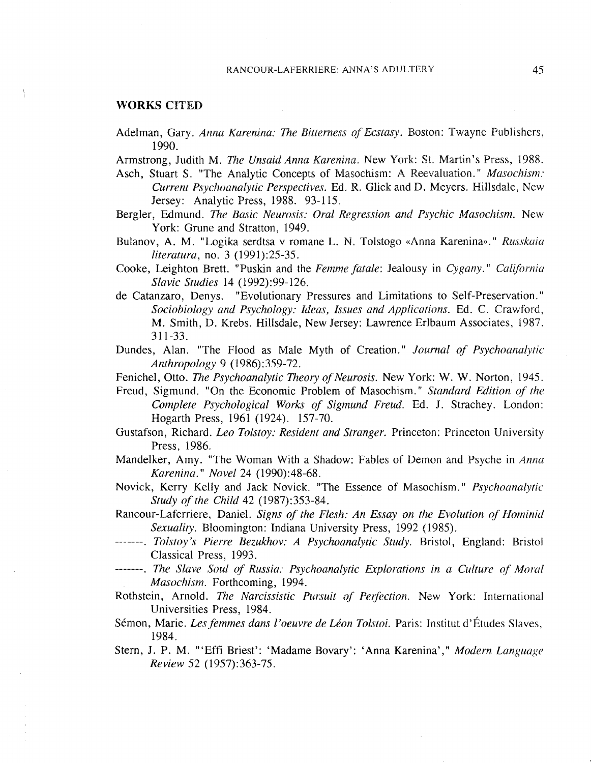## **WORKS CITED**

 $\left\{ \right\}$ 

- Adelman, Gary. Anna Karenina: The Bitterness of Ecstasy. Boston: Twayne Publishers, 1990.
- Armstrong, Judith M. The Unsaid Anna Karenina. New York: St. Martin's Press, 1988.
- Asch, Stuart S. "The Analytic Concepts of Masochism: A Reevaluation." Masochism: Current Psychoanalytic Perspectives. Ed. R. Glick and D. Meyers. Hillsdale, New Jersey: Analytic Press, 1988. 93-115.
- Bergler, Edmund, The Basic Neurosis: Oral Regression and Psychic Masochism. New York: Grune and Stratton, 1949.
- Bulanov, A. M. "Logika serdtsa v romane L. N. Tolstogo «Anna Karenina»." Russkaia *literatura*, no. 3 (1991):25-35.
- Cooke, Leighton Brett. "Puskin and the Femme fatale: Jealousy in Cygany." California Slavic Studies 14 (1992):99-126.
- de Catanzaro, Denys. "Evolutionary Pressures and Limitations to Self-Preservation." Sociobiology and Psychology: Ideas, Issues and Applications. Ed. C. Crawford, M. Smith, D. Krebs. Hillsdale, New Jersey: Lawrence Erlbaum Associates, 1987. 311-33.
- Dundes, Alan. "The Flood as Male Myth of Creation." Journal of Psychoanalytic Anthropology 9 (1986):359-72.
- Fenichel, Otto. The Psychoanalytic Theory of Neurosis. New York: W. W. Norton, 1945.
- Freud, Sigmund. "On the Economic Problem of Masochism." Standard Edition of the Complete Psychological Works of Sigmund Freud. Ed. J. Strachey. London: Hogarth Press, 1961 (1924). 157-70.
- Gustafson, Richard. Leo Tolstoy: Resident and Stranger. Princeton: Princeton University Press, 1986.
- Mandelker, Amy. "The Woman With a Shadow: Fables of Demon and Psyche in Anna Karenina." Novel 24 (1990):48-68.
- Novick, Kerry Kelly and Jack Novick. "The Essence of Masochism." Psychoanalytic Study of the Child 42 (1987):353-84.
- Rancour-Laferriere, Daniel. Signs of the Flesh: An Essay on the Evolution of Hominid Sexuality. Bloomington: Indiana University Press, 1992 (1985).
- **-------.** *Tolstoy's* Classical Press, 1993.
- **-------.** *The Slave Masochism.* Forthcoming, 1994.
- Rothstein, Arnold. The Narcissistic Pursuit of Perfection. New York: International Universities Press, 1984.
- Sémon, Marie. Les femmes dans l'oeuvre de Léon Tolstoi. Paris: Institut d'Études Slaves, 1984.
- Stern, J. P. M. "'Effi Briest': 'Madame Bovary': 'Anna Karenina'," Modern Language *Review* 52 (1957): 363-75.